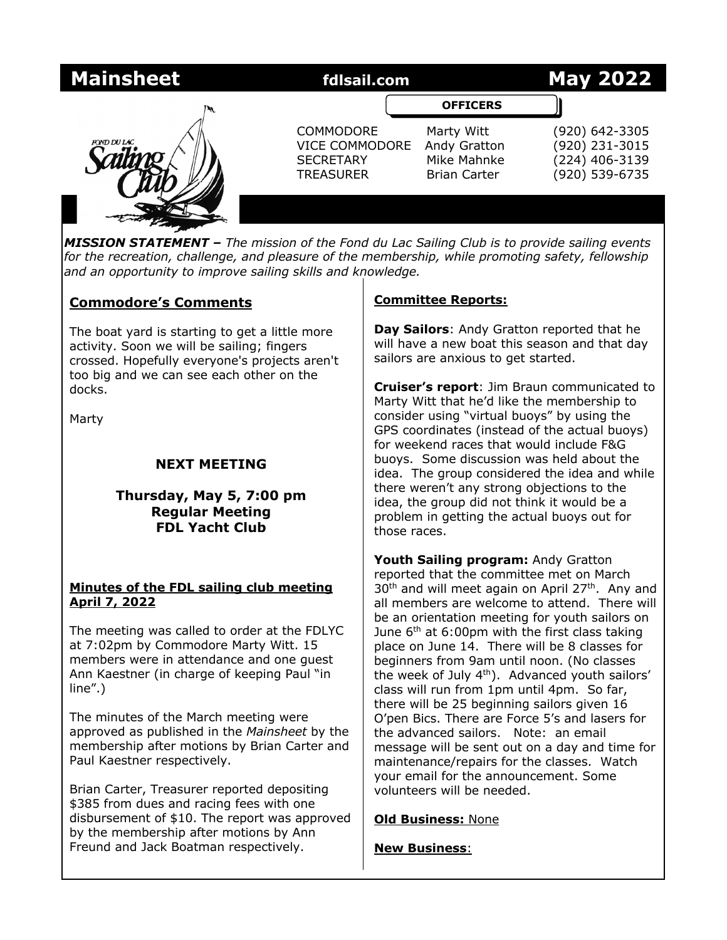| <b>Mainsheet</b>   | fdlsail.com                                                                       |                                                                  | <b>May 2022</b>                                                      |
|--------------------|-----------------------------------------------------------------------------------|------------------------------------------------------------------|----------------------------------------------------------------------|
|                    |                                                                                   | <b>OFFICERS</b>                                                  |                                                                      |
| <b>POND DU LAC</b> | <b>COMMODORE</b><br><b>VICE COMMODORE</b><br><b>SECRETARY</b><br><b>TREASURER</b> | Marty Witt<br>Andy Gratton<br>Mike Mahnke<br><b>Brian Carter</b> | (920) 642-3305<br>(920) 231-3015<br>(224) 406-3139<br>(920) 539-6735 |
|                    |                                                                                   |                                                                  |                                                                      |

*MISSION STATEMENT – The mission of the Fond du Lac Sailing Club is to provide sailing events for the recreation, challenge, and pleasure of the membership, while promoting safety, fellowship and an opportunity to improve sailing skills and knowledge.*

# **Commodore's Comments**

The boat yard is starting to get a little more activity. Soon we will be sailing; fingers crossed. Hopefully everyone's projects aren't too big and we can see each other on the docks.

Marty

# **NEXT MEETING**

# **Thursday, May 5, 7:00 pm Regular Meeting FDL Yacht Club**

## **Minutes of the FDL sailing club meeting April 7, 2022**

The meeting was called to order at the FDLYC at 7:02pm by Commodore Marty Witt. 15 members were in attendance and one guest Ann Kaestner (in charge of keeping Paul "in line".)

The minutes of the March meeting were approved as published in the *Mainsheet* by the membership after motions by Brian Carter and Paul Kaestner respectively.

Brian Carter, Treasurer reported depositing \$385 from dues and racing fees with one disbursement of \$10. The report was approved by the membership after motions by Ann Freund and Jack Boatman respectively.

## **Committee Reports:**

**Day Sailors**: Andy Gratton reported that he will have a new boat this season and that day sailors are anxious to get started.

**Cruiser's report**: Jim Braun communicated to Marty Witt that he'd like the membership to consider using "virtual buoys" by using the GPS coordinates (instead of the actual buoys) for weekend races that would include F&G buoys. Some discussion was held about the idea. The group considered the idea and while there weren't any strong objections to the idea, the group did not think it would be a problem in getting the actual buoys out for those races.

**Youth Sailing program:** Andy Gratton reported that the committee met on March 30<sup>th</sup> and will meet again on April 27<sup>th</sup>. Any and all members are welcome to attend. There will be an orientation meeting for youth sailors on June  $6<sup>th</sup>$  at 6:00pm with the first class taking place on June 14. There will be 8 classes for beginners from 9am until noon. (No classes the week of July  $4<sup>th</sup>$ ). Advanced youth sailors' class will run from 1pm until 4pm. So far, there will be 25 beginning sailors given 16 O'pen Bics. There are Force 5's and lasers for the advanced sailors. Note: an email message will be sent out on a day and time for maintenance/repairs for the classes. Watch your email for the announcement. Some volunteers will be needed.

**Old Business:** None

**New Business**: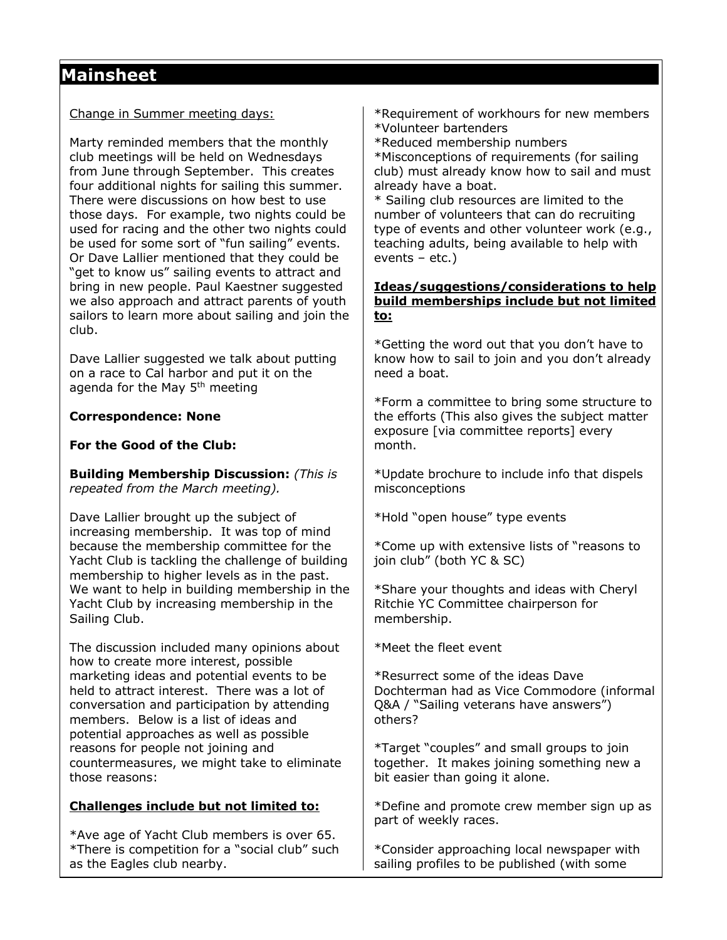# **Mainsheet**

### Change in Summer meeting days:

Marty reminded members that the monthly club meetings will be held on Wednesdays from June through September. This creates four additional nights for sailing this summer. There were discussions on how best to use those days. For example, two nights could be used for racing and the other two nights could be used for some sort of "fun sailing" events. Or Dave Lallier mentioned that they could be "get to know us" sailing events to attract and bring in new people. Paul Kaestner suggested we also approach and attract parents of youth sailors to learn more about sailing and join the club.

Dave Lallier suggested we talk about putting on a race to Cal harbor and put it on the agenda for the May 5<sup>th</sup> meeting

#### **Correspondence: None**

## **For the Good of the Club:**

**Building Membership Discussion:** *(This is repeated from the March meeting).*

Dave Lallier brought up the subject of increasing membership. It was top of mind because the membership committee for the Yacht Club is tackling the challenge of building membership to higher levels as in the past. We want to help in building membership in the Yacht Club by increasing membership in the Sailing Club.

The discussion included many opinions about how to create more interest, possible marketing ideas and potential events to be held to attract interest. There was a lot of conversation and participation by attending members. Below is a list of ideas and potential approaches as well as possible reasons for people not joining and countermeasures, we might take to eliminate those reasons:

## **Challenges include but not limited to:**

\*Ave age of Yacht Club members is over 65. \*There is competition for a "social club" such as the Eagles club nearby.

\*Requirement of workhours for new members \*Volunteer bartenders

\*Reduced membership numbers

\*Misconceptions of requirements (for sailing club) must already know how to sail and must already have a boat.

\* Sailing club resources are limited to the number of volunteers that can do recruiting type of events and other volunteer work (e.g., teaching adults, being available to help with events – etc.)

### **Ideas/suggestions/considerations to help build memberships include but not limited to:**

\*Getting the word out that you don't have to know how to sail to join and you don't already need a boat.

\*Form a committee to bring some structure to the efforts (This also gives the subject matter exposure [via committee reports] every month.

\*Update brochure to include info that dispels misconceptions

\*Hold "open house" type events

\*Come up with extensive lists of "reasons to join club" (both YC & SC)

\*Share your thoughts and ideas with Cheryl Ritchie YC Committee chairperson for membership.

\*Meet the fleet event

\*Resurrect some of the ideas Dave Dochterman had as Vice Commodore (informal Q&A / "Sailing veterans have answers") others?

\*Target "couples" and small groups to join together. It makes joining something new a bit easier than going it alone.

\*Define and promote crew member sign up as part of weekly races.

\*Consider approaching local newspaper with sailing profiles to be published (with some